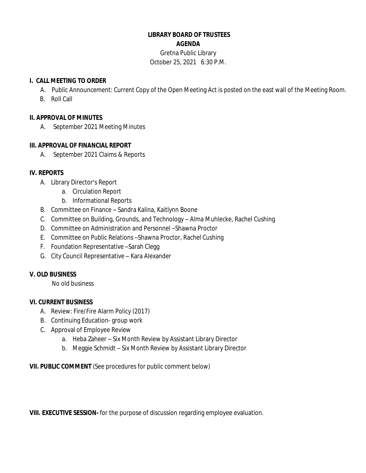### **LIBRARY BOARD OF TRUSTEES AGENDA**

Gretna Public Library October 25, 2021 6:30 P.M.

#### **I. CALL MEETING TO ORDER**

- A. Public Announcement: Current Copy of the Open Meeting Act is posted on the east wall of the Meeting Room.
- B. Roll Call

#### **II. APPROVAL OF MINUTES**

A. September 2021 Meeting Minutes

## **III. APPROVAL OF FINANCIAL REPORT**

A. September 2021 Claims & Reports

## **IV. REPORTS**

- A. Library Director's Report
	- a. Circulation Report
	- b. Informational Reports
- B. Committee on Finance Sandra Kalina, Kaitlynn Boone
- C. Committee on Building, Grounds, and Technology Alma Muhlecke, Rachel Cushing
- D. Committee on Administration and Personnel –Shawna Proctor
- E. Committee on Public Relations –Shawna Proctor, Rachel Cushing
- F. Foundation Representative –Sarah Clegg
- G. City Council Representative Kara Alexander

# **V. OLD BUSINESS**

No old business

#### **VI. CURRENT BUSINESS**

- A. Review: Fire/Fire Alarm Policy (2017)
- B. Continuing Education- group work
- C. Approval of Employee Review
	- a. Heba Zaheer Six Month Review by Assistant Library Director
	- b. Meggie Schmidt Six Month Review by Assistant Library Director

**VII. PUBLIC COMMENT** (See procedures for public comment below)

**VIII. EXECUTIVE SESSION-** for the purpose of discussion regarding employee evaluation.